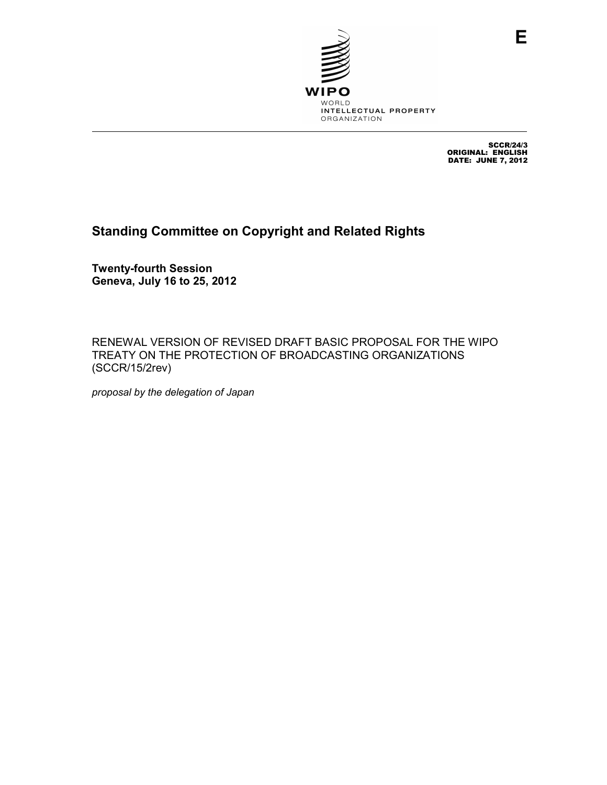

SCCR/24/3 ORIGINAL: ENGLISH DATE: JUNE 7, 2012

# **Standing Committee on Copyright and Related Rights**

**Twenty-fourth Session Geneva, July 16 to 25, 2012** 

RENEWAL VERSION OF REVISED DRAFT BASIC PROPOSAL FOR THE WIPO TREATY ON THE PROTECTION OF BROADCASTING ORGANIZATIONS (SCCR/15/2rev)

*proposal by the delegation of Japan*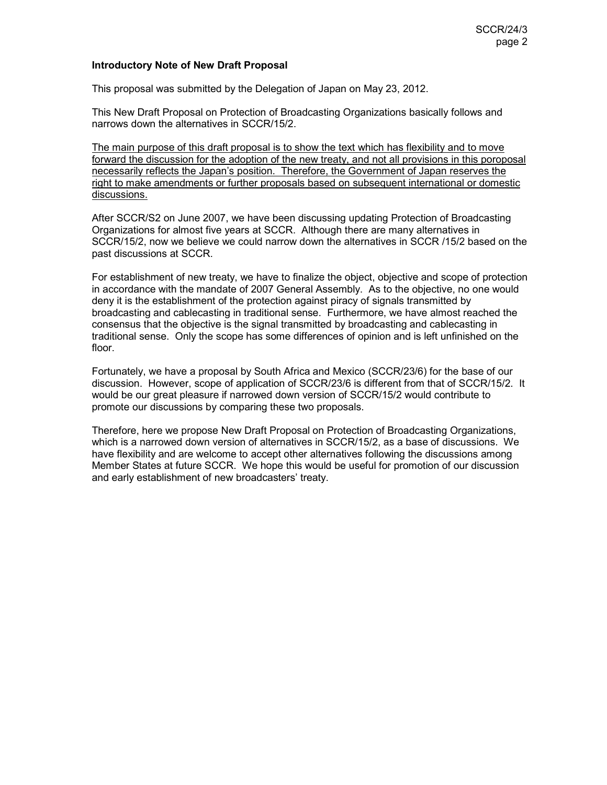#### **Introductory Note of New Draft Proposal**

This proposal was submitted by the Delegation of Japan on May 23, 2012.

This New Draft Proposal on Protection of Broadcasting Organizations basically follows and narrows down the alternatives in SCCR/15/2.

The main purpose of this draft proposal is to show the text which has flexibility and to move forward the discussion for the adoption of the new treaty, and not all provisions in this poroposal necessarily reflects the Japan's position. Therefore, the Government of Japan reserves the right to make amendments or further proposals based on subsequent international or domestic discussions.

After SCCR/S2 on June 2007, we have been discussing updating Protection of Broadcasting Organizations for almost five years at SCCR. Although there are many alternatives in SCCR/15/2, now we believe we could narrow down the alternatives in SCCR /15/2 based on the past discussions at SCCR.

For establishment of new treaty, we have to finalize the object, objective and scope of protection in accordance with the mandate of 2007 General Assembly. As to the objective, no one would deny it is the establishment of the protection against piracy of signals transmitted by broadcasting and cablecasting in traditional sense. Furthermore, we have almost reached the consensus that the objective is the signal transmitted by broadcasting and cablecasting in traditional sense. Only the scope has some differences of opinion and is left unfinished on the floor.

Fortunately, we have a proposal by South Africa and Mexico (SCCR/23/6) for the base of our discussion. However, scope of application of SCCR/23/6 is different from that of SCCR/15/2. It would be our great pleasure if narrowed down version of SCCR/15/2 would contribute to promote our discussions by comparing these two proposals.

Therefore, here we propose New Draft Proposal on Protection of Broadcasting Organizations, which is a narrowed down version of alternatives in SCCR/15/2, as a base of discussions. We have flexibility and are welcome to accept other alternatives following the discussions among Member States at future SCCR. We hope this would be useful for promotion of our discussion and early establishment of new broadcasters' treaty.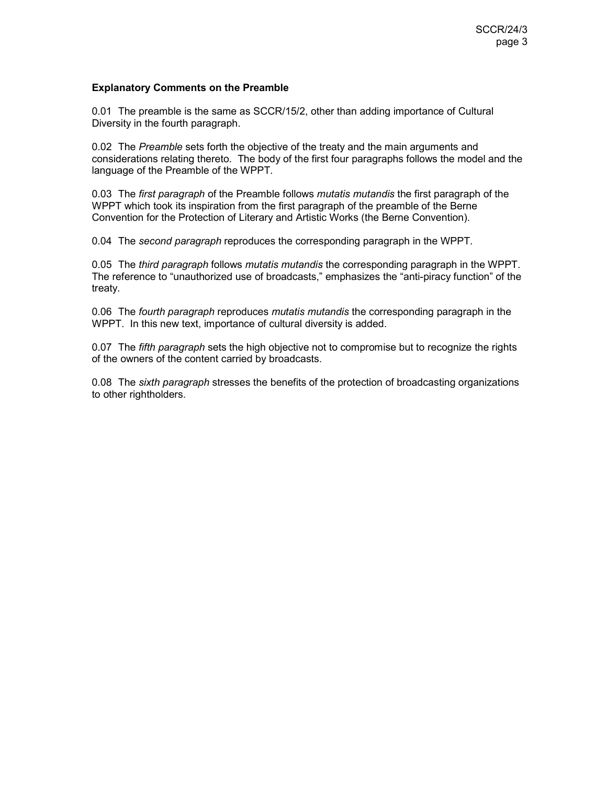#### **Explanatory Comments on the Preamble**

0.01 The preamble is the same as SCCR/15/2, other than adding importance of Cultural Diversity in the fourth paragraph.

0.02 The *Preamble* sets forth the objective of the treaty and the main arguments and considerations relating thereto. The body of the first four paragraphs follows the model and the language of the Preamble of the WPPT.

0.03 The *first paragraph* of the Preamble follows *mutatis mutandis* the first paragraph of the WPPT which took its inspiration from the first paragraph of the preamble of the Berne Convention for the Protection of Literary and Artistic Works (the Berne Convention).

0.04 The *second paragraph* reproduces the corresponding paragraph in the WPPT.

0.05 The *third paragraph* follows *mutatis mutandis* the corresponding paragraph in the WPPT. The reference to "unauthorized use of broadcasts," emphasizes the "anti-piracy function" of the treaty.

0.06 The *fourth paragraph* reproduces *mutatis mutandis* the corresponding paragraph in the WPPT. In this new text, importance of cultural diversity is added.

0.07 The *fifth paragraph* sets the high objective not to compromise but to recognize the rights of the owners of the content carried by broadcasts.

0.08 The *sixth paragraph* stresses the benefits of the protection of broadcasting organizations to other rightholders.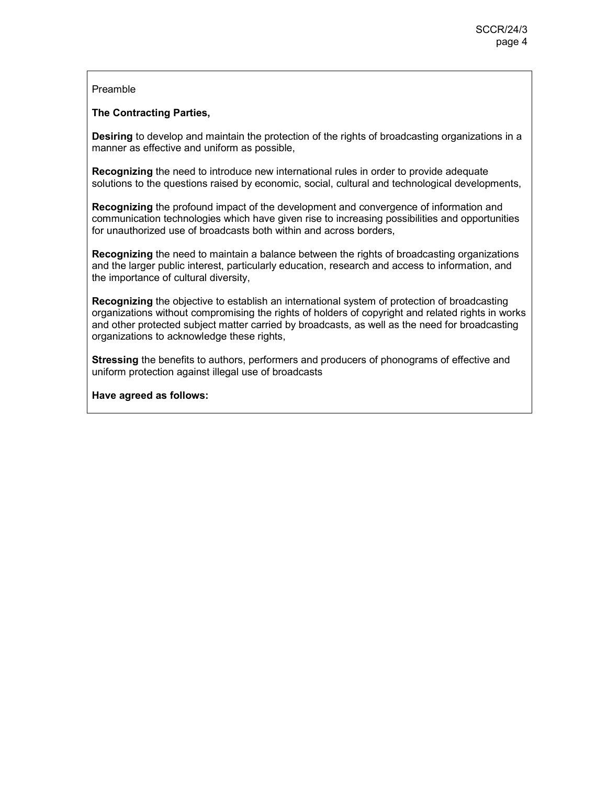## Preamble

# **The Contracting Parties,**

**Desiring** to develop and maintain the protection of the rights of broadcasting organizations in a manner as effective and uniform as possible,

**Recognizing** the need to introduce new international rules in order to provide adequate solutions to the questions raised by economic, social, cultural and technological developments,

**Recognizing** the profound impact of the development and convergence of information and communication technologies which have given rise to increasing possibilities and opportunities for unauthorized use of broadcasts both within and across borders,

**Recognizing** the need to maintain a balance between the rights of broadcasting organizations and the larger public interest, particularly education, research and access to information, and the importance of cultural diversity,

**Recognizing** the objective to establish an international system of protection of broadcasting organizations without compromising the rights of holders of copyright and related rights in works and other protected subject matter carried by broadcasts, as well as the need for broadcasting organizations to acknowledge these rights,

**Stressing** the benefits to authors, performers and producers of phonograms of effective and uniform protection against illegal use of broadcasts

**Have agreed as follows:**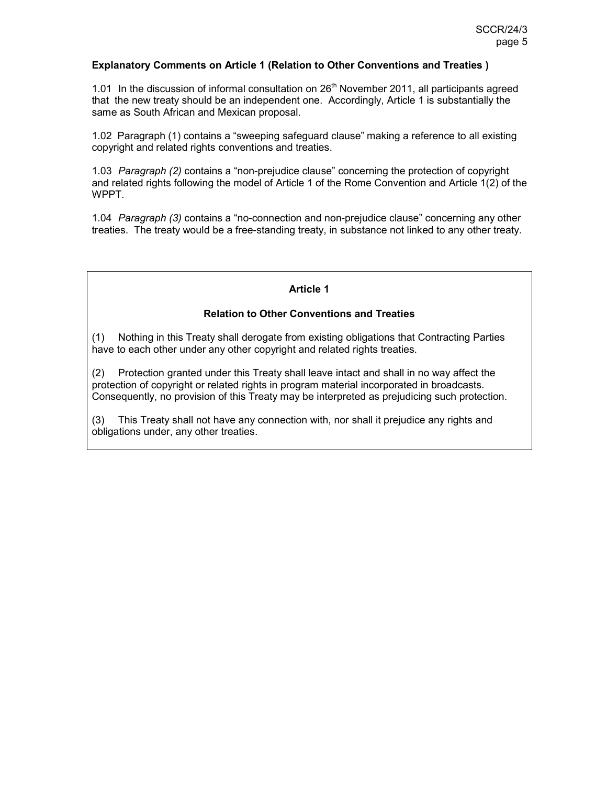#### **Explanatory Comments on Article 1 (Relation to Other Conventions and Treaties )**

1.01 In the discussion of informal consultation on  $26<sup>th</sup>$  November 2011, all participants agreed that the new treaty should be an independent one. Accordingly, Article 1 is substantially the same as South African and Mexican proposal.

1.02 Paragraph (1) contains a "sweeping safeguard clause" making a reference to all existing copyright and related rights conventions and treaties.

1.03 *Paragraph (2)* contains a "non-prejudice clause" concerning the protection of copyright and related rights following the model of Article 1 of the Rome Convention and Article 1(2) of the WPPT.

1.04 *Paragraph (3)* contains a "no-connection and non-prejudice clause" concerning any other treaties. The treaty would be a free-standing treaty, in substance not linked to any other treaty.

#### **Article 1**

#### **Relation to Other Conventions and Treaties**

(1) Nothing in this Treaty shall derogate from existing obligations that Contracting Parties have to each other under any other copyright and related rights treaties.

(2) Protection granted under this Treaty shall leave intact and shall in no way affect the protection of copyright or related rights in program material incorporated in broadcasts. Consequently, no provision of this Treaty may be interpreted as prejudicing such protection.

(3) This Treaty shall not have any connection with, nor shall it prejudice any rights and obligations under, any other treaties.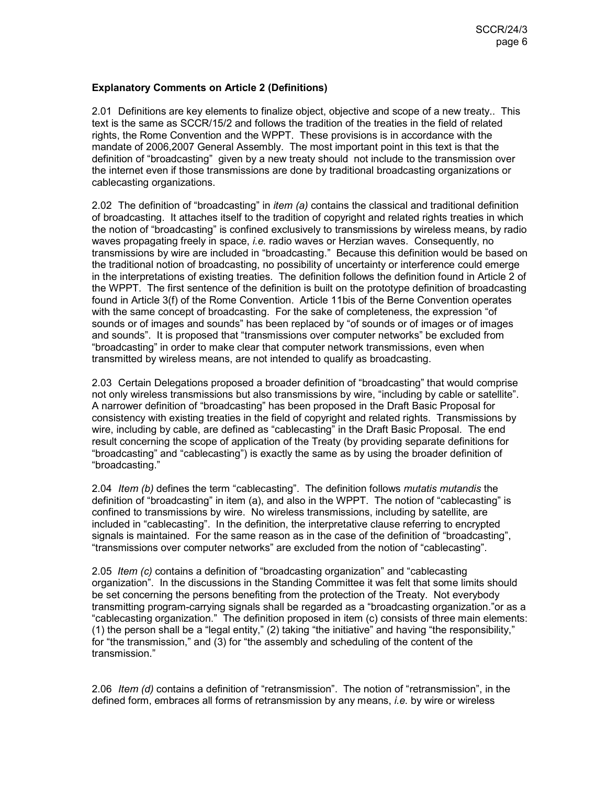## **Explanatory Comments on Article 2 (Definitions)**

2.01 Definitions are key elements to finalize object, objective and scope of a new treaty.. This text is the same as SCCR/15/2 and follows the tradition of the treaties in the field of related rights, the Rome Convention and the WPPT. These provisions is in accordance with the mandate of 2006,2007 General Assembly. The most important point in this text is that the definition of "broadcasting" given by a new treaty should not include to the transmission over the internet even if those transmissions are done by traditional broadcasting organizations or cablecasting organizations.

2.02 The definition of "broadcasting" in *item (a)* contains the classical and traditional definition of broadcasting. It attaches itself to the tradition of copyright and related rights treaties in which the notion of "broadcasting" is confined exclusively to transmissions by wireless means, by radio waves propagating freely in space, *i.e.* radio waves or Herzian waves. Consequently, no transmissions by wire are included in "broadcasting." Because this definition would be based on the traditional notion of broadcasting, no possibility of uncertainty or interference could emerge in the interpretations of existing treaties. The definition follows the definition found in Article 2 of the WPPT. The first sentence of the definition is built on the prototype definition of broadcasting found in Article 3(f) of the Rome Convention. Article 11bis of the Berne Convention operates with the same concept of broadcasting. For the sake of completeness, the expression "of sounds or of images and sounds" has been replaced by "of sounds or of images or of images and sounds". It is proposed that "transmissions over computer networks" be excluded from "broadcasting" in order to make clear that computer network transmissions, even when transmitted by wireless means, are not intended to qualify as broadcasting.

2.03 Certain Delegations proposed a broader definition of "broadcasting" that would comprise not only wireless transmissions but also transmissions by wire, "including by cable or satellite". A narrower definition of "broadcasting" has been proposed in the Draft Basic Proposal for consistency with existing treaties in the field of copyright and related rights. Transmissions by wire, including by cable, are defined as "cablecasting" in the Draft Basic Proposal. The end result concerning the scope of application of the Treaty (by providing separate definitions for "broadcasting" and "cablecasting") is exactly the same as by using the broader definition of "broadcasting."

2.04 *Item (b)* defines the term "cablecasting". The definition follows *mutatis mutandis* the definition of "broadcasting" in item (a), and also in the WPPT. The notion of "cablecasting" is confined to transmissions by wire. No wireless transmissions, including by satellite, are included in "cablecasting". In the definition, the interpretative clause referring to encrypted signals is maintained. For the same reason as in the case of the definition of "broadcasting", "transmissions over computer networks" are excluded from the notion of "cablecasting".

2.05 *Item (c)* contains a definition of "broadcasting organization" and "cablecasting organization". In the discussions in the Standing Committee it was felt that some limits should be set concerning the persons benefiting from the protection of the Treaty. Not everybody transmitting program-carrying signals shall be regarded as a "broadcasting organization."or as a "cablecasting organization." The definition proposed in item (c) consists of three main elements: (1) the person shall be a "legal entity," (2) taking "the initiative" and having "the responsibility," for "the transmission," and (3) for "the assembly and scheduling of the content of the transmission."

2.06 *Item (d)* contains a definition of "retransmission". The notion of "retransmission", in the defined form, embraces all forms of retransmission by any means, *i.e.* by wire or wireless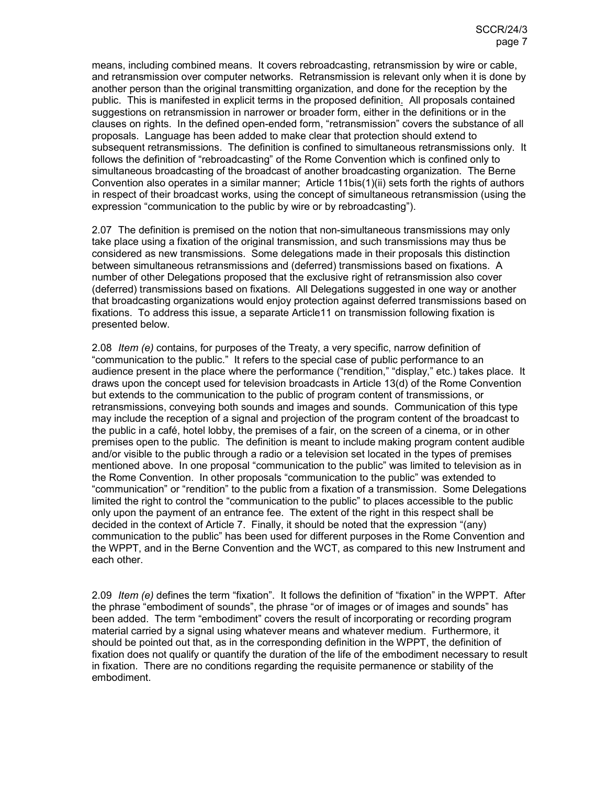means, including combined means. It covers rebroadcasting, retransmission by wire or cable, and retransmission over computer networks. Retransmission is relevant only when it is done by another person than the original transmitting organization, and done for the reception by the public. This is manifested in explicit terms in the proposed definition. All proposals contained suggestions on retransmission in narrower or broader form, either in the definitions or in the clauses on rights. In the defined open-ended form, "retransmission" covers the substance of all proposals. Language has been added to make clear that protection should extend to subsequent retransmissions. The definition is confined to simultaneous retransmissions only. It follows the definition of "rebroadcasting" of the Rome Convention which is confined only to simultaneous broadcasting of the broadcast of another broadcasting organization. The Berne Convention also operates in a similar manner; Article 11bis(1)(ii) sets forth the rights of authors in respect of their broadcast works, using the concept of simultaneous retransmission (using the expression "communication to the public by wire or by rebroadcasting").

2.07 The definition is premised on the notion that non-simultaneous transmissions may only take place using a fixation of the original transmission, and such transmissions may thus be considered as new transmissions. Some delegations made in their proposals this distinction between simultaneous retransmissions and (deferred) transmissions based on fixations. A number of other Delegations proposed that the exclusive right of retransmission also cover (deferred) transmissions based on fixations. All Delegations suggested in one way or another that broadcasting organizations would enjoy protection against deferred transmissions based on fixations. To address this issue, a separate Article11 on transmission following fixation is presented below.

2.08 *Item (e)* contains, for purposes of the Treaty, a very specific, narrow definition of "communication to the public." It refers to the special case of public performance to an audience present in the place where the performance ("rendition," "display," etc.) takes place. It draws upon the concept used for television broadcasts in Article 13(d) of the Rome Convention but extends to the communication to the public of program content of transmissions, or retransmissions, conveying both sounds and images and sounds. Communication of this type may include the reception of a signal and projection of the program content of the broadcast to the public in a café, hotel lobby, the premises of a fair, on the screen of a cinema, or in other premises open to the public. The definition is meant to include making program content audible and/or visible to the public through a radio or a television set located in the types of premises mentioned above. In one proposal "communication to the public" was limited to television as in the Rome Convention. In other proposals "communication to the public" was extended to "communication" or "rendition" to the public from a fixation of a transmission. Some Delegations limited the right to control the "communication to the public" to places accessible to the public only upon the payment of an entrance fee. The extent of the right in this respect shall be decided in the context of Article 7. Finally, it should be noted that the expression "(any) communication to the public" has been used for different purposes in the Rome Convention and the WPPT, and in the Berne Convention and the WCT, as compared to this new Instrument and each other.

2.09 *Item (e)* defines the term "fixation". It follows the definition of "fixation" in the WPPT. After the phrase "embodiment of sounds", the phrase "or of images or of images and sounds" has been added. The term "embodiment" covers the result of incorporating or recording program material carried by a signal using whatever means and whatever medium. Furthermore, it should be pointed out that, as in the corresponding definition in the WPPT, the definition of fixation does not qualify or quantify the duration of the life of the embodiment necessary to result in fixation. There are no conditions regarding the requisite permanence or stability of the embodiment.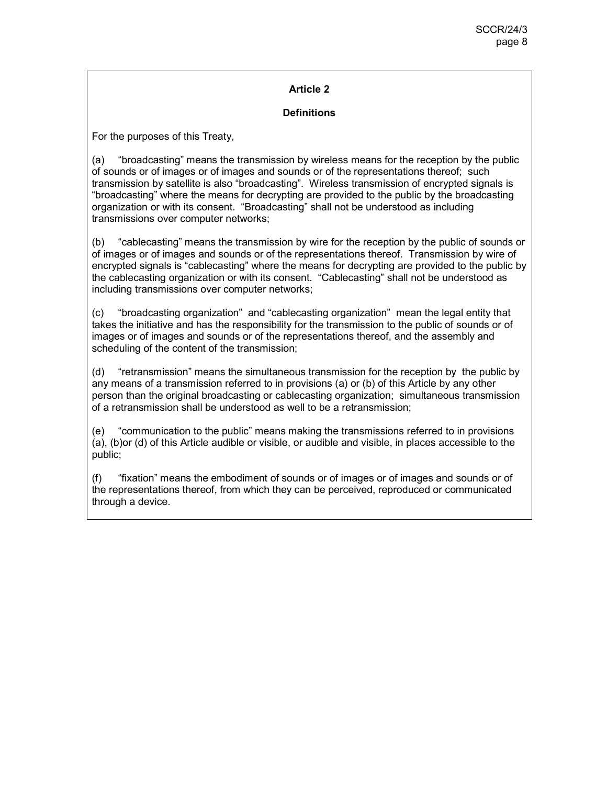# **Article 2**

# **Definitions**

For the purposes of this Treaty,

(a) "broadcasting" means the transmission by wireless means for the reception by the public of sounds or of images or of images and sounds or of the representations thereof; such transmission by satellite is also "broadcasting". Wireless transmission of encrypted signals is "broadcasting" where the means for decrypting are provided to the public by the broadcasting organization or with its consent. "Broadcasting" shall not be understood as including transmissions over computer networks;

(b) "cablecasting" means the transmission by wire for the reception by the public of sounds or of images or of images and sounds or of the representations thereof. Transmission by wire of encrypted signals is "cablecasting" where the means for decrypting are provided to the public by the cablecasting organization or with its consent. "Cablecasting" shall not be understood as including transmissions over computer networks;

(c) "broadcasting organization" and "cablecasting organization" mean the legal entity that takes the initiative and has the responsibility for the transmission to the public of sounds or of images or of images and sounds or of the representations thereof, and the assembly and scheduling of the content of the transmission;

(d) "retransmission" means the simultaneous transmission for the reception by the public by any means of a transmission referred to in provisions (a) or (b) of this Article by any other person than the original broadcasting or cablecasting organization; simultaneous transmission of a retransmission shall be understood as well to be a retransmission;

(e) "communication to the public" means making the transmissions referred to in provisions (a), (b)or (d) of this Article audible or visible, or audible and visible, in places accessible to the public;

(f) "fixation" means the embodiment of sounds or of images or of images and sounds or of the representations thereof, from which they can be perceived, reproduced or communicated through a device.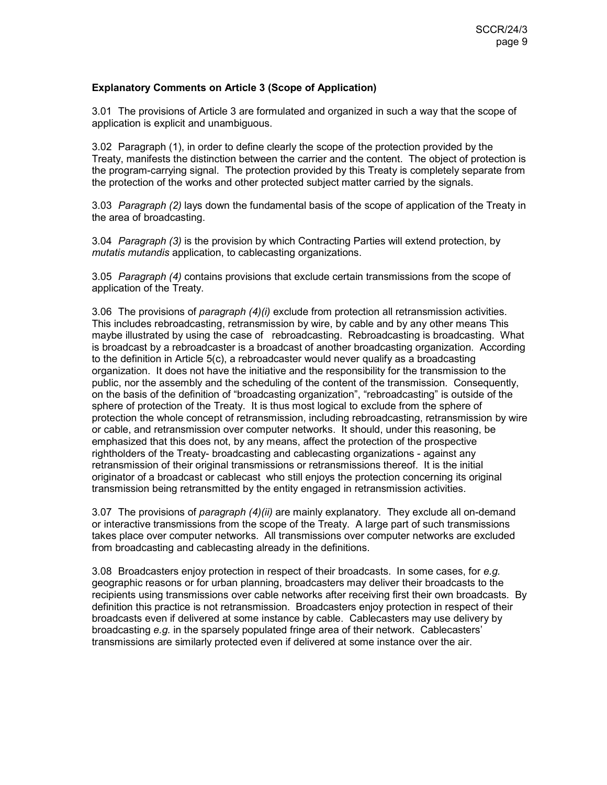## **Explanatory Comments on Article 3 (Scope of Application)**

3.01 The provisions of Article 3 are formulated and organized in such a way that the scope of application is explicit and unambiguous.

3.02 Paragraph (1), in order to define clearly the scope of the protection provided by the Treaty, manifests the distinction between the carrier and the content. The object of protection is the program-carrying signal. The protection provided by this Treaty is completely separate from the protection of the works and other protected subject matter carried by the signals.

3.03 *Paragraph (2)* lays down the fundamental basis of the scope of application of the Treaty in the area of broadcasting.

3.04 *Paragraph (3)* is the provision by which Contracting Parties will extend protection, by *mutatis mutandis* application, to cablecasting organizations.

3.05 *Paragraph (4)* contains provisions that exclude certain transmissions from the scope of application of the Treaty.

3.06 The provisions of *paragraph (4)(i)* exclude from protection all retransmission activities. This includes rebroadcasting, retransmission by wire, by cable and by any other means This maybe illustrated by using the case of rebroadcasting. Rebroadcasting is broadcasting. What is broadcast by a rebroadcaster is a broadcast of another broadcasting organization. According to the definition in Article 5(c), a rebroadcaster would never qualify as a broadcasting organization. It does not have the initiative and the responsibility for the transmission to the public, nor the assembly and the scheduling of the content of the transmission. Consequently, on the basis of the definition of "broadcasting organization", "rebroadcasting" is outside of the sphere of protection of the Treaty. It is thus most logical to exclude from the sphere of protection the whole concept of retransmission, including rebroadcasting, retransmission by wire or cable, and retransmission over computer networks. It should, under this reasoning, be emphasized that this does not, by any means, affect the protection of the prospective rightholders of the Treaty- broadcasting and cablecasting organizations - against any retransmission of their original transmissions or retransmissions thereof. It is the initial originator of a broadcast or cablecast who still enjoys the protection concerning its original transmission being retransmitted by the entity engaged in retransmission activities.

3.07 The provisions of *paragraph (4)(ii)* are mainly explanatory. They exclude all on-demand or interactive transmissions from the scope of the Treaty. A large part of such transmissions takes place over computer networks. All transmissions over computer networks are excluded from broadcasting and cablecasting already in the definitions.

3.08 Broadcasters enjoy protection in respect of their broadcasts. In some cases, for *e.g.* geographic reasons or for urban planning, broadcasters may deliver their broadcasts to the recipients using transmissions over cable networks after receiving first their own broadcasts. By definition this practice is not retransmission. Broadcasters enjoy protection in respect of their broadcasts even if delivered at some instance by cable. Cablecasters may use delivery by broadcasting *e.g.* in the sparsely populated fringe area of their network. Cablecasters' transmissions are similarly protected even if delivered at some instance over the air.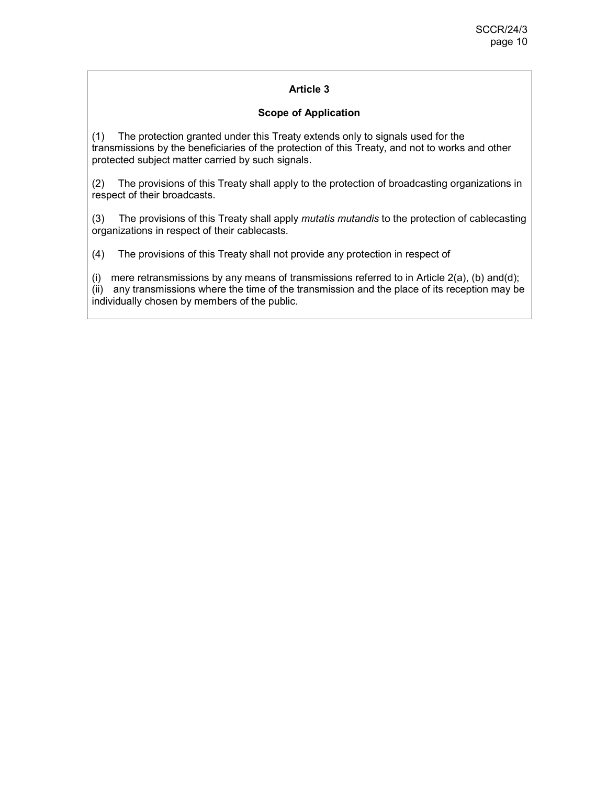# **Article 3**

# **Scope of Application**

(1) The protection granted under this Treaty extends only to signals used for the transmissions by the beneficiaries of the protection of this Treaty, and not to works and other protected subject matter carried by such signals.

(2) The provisions of this Treaty shall apply to the protection of broadcasting organizations in respect of their broadcasts.

(3) The provisions of this Treaty shall apply *mutatis mutandis* to the protection of cablecasting organizations in respect of their cablecasts.

(4) The provisions of this Treaty shall not provide any protection in respect of

(i) mere retransmissions by any means of transmissions referred to in Article  $2(a)$ , (b) and(d); (ii) any transmissions where the time of the transmission and the place of its reception may be individually chosen by members of the public.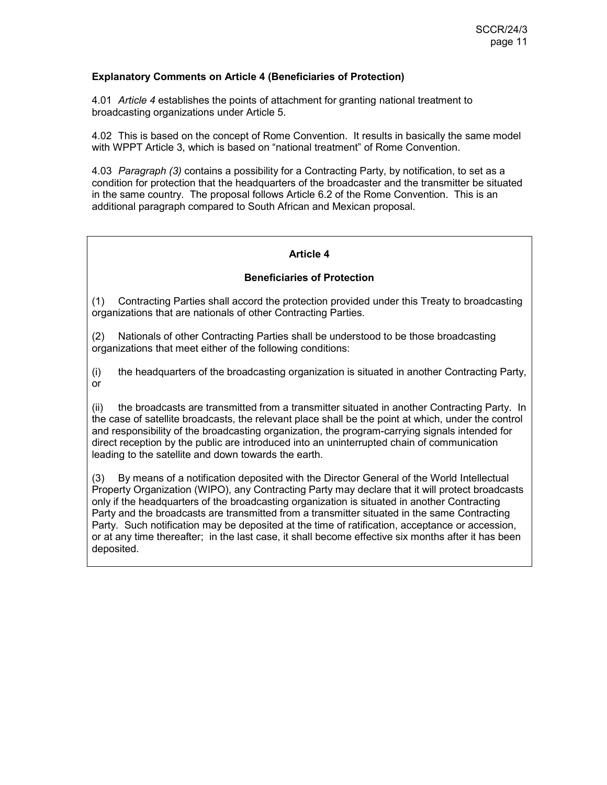## **Explanatory Comments on Article 4 (Beneficiaries of Protection)**

4.01 *Article 4* establishes the points of attachment for granting national treatment to broadcasting organizations under Article 5.

4.02 This is based on the concept of Rome Convention. It results in basically the same model with WPPT Article 3, which is based on "national treatment" of Rome Convention.

4.03 *Paragraph (3)* contains a possibility for a Contracting Party, by notification, to set as a condition for protection that the headquarters of the broadcaster and the transmitter be situated in the same country. The proposal follows Article 6.2 of the Rome Convention. This is an additional paragraph compared to South African and Mexican proposal.

## **Article 4**

#### **Beneficiaries of Protection**

(1) Contracting Parties shall accord the protection provided under this Treaty to broadcasting organizations that are nationals of other Contracting Parties.

(2) Nationals of other Contracting Parties shall be understood to be those broadcasting organizations that meet either of the following conditions:

(i) the headquarters of the broadcasting organization is situated in another Contracting Party, or

(ii) the broadcasts are transmitted from a transmitter situated in another Contracting Party. In the case of satellite broadcasts, the relevant place shall be the point at which, under the control and responsibility of the broadcasting organization, the program-carrying signals intended for direct reception by the public are introduced into an uninterrupted chain of communication leading to the satellite and down towards the earth.

(3) By means of a notification deposited with the Director General of the World Intellectual Property Organization (WIPO), any Contracting Party may declare that it will protect broadcasts only if the headquarters of the broadcasting organization is situated in another Contracting Party and the broadcasts are transmitted from a transmitter situated in the same Contracting Party. Such notification may be deposited at the time of ratification, acceptance or accession, or at any time thereafter; in the last case, it shall become effective six months after it has been deposited.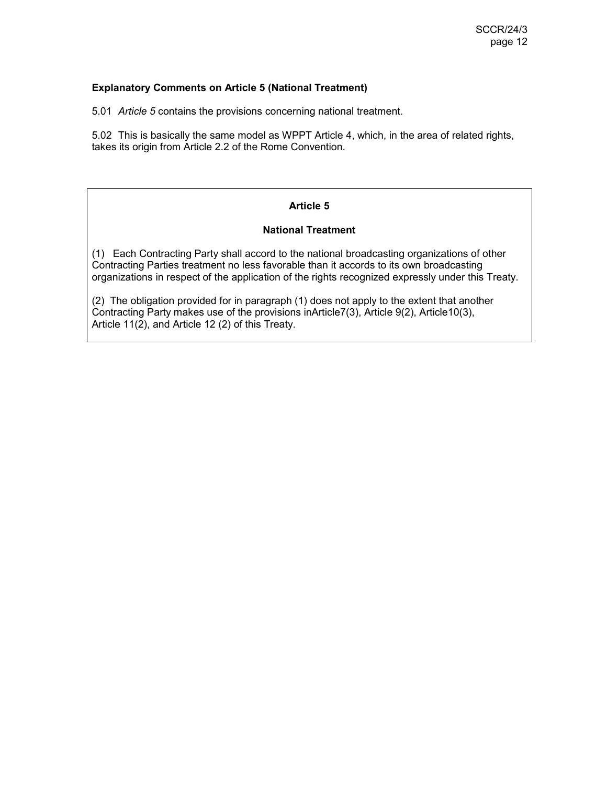#### **Explanatory Comments on Article 5 (National Treatment)**

5.01 *Article 5* contains the provisions concerning national treatment.

5.02 This is basically the same model as WPPT Article 4, which, in the area of related rights, takes its origin from Article 2.2 of the Rome Convention.

#### **Article 5**

#### **National Treatment**

(1) Each Contracting Party shall accord to the national broadcasting organizations of other Contracting Parties treatment no less favorable than it accords to its own broadcasting organizations in respect of the application of the rights recognized expressly under this Treaty.

(2) The obligation provided for in paragraph (1) does not apply to the extent that another Contracting Party makes use of the provisions inArticle7(3), Article 9(2), Article10(3), Article 11(2), and Article 12 (2) of this Treaty.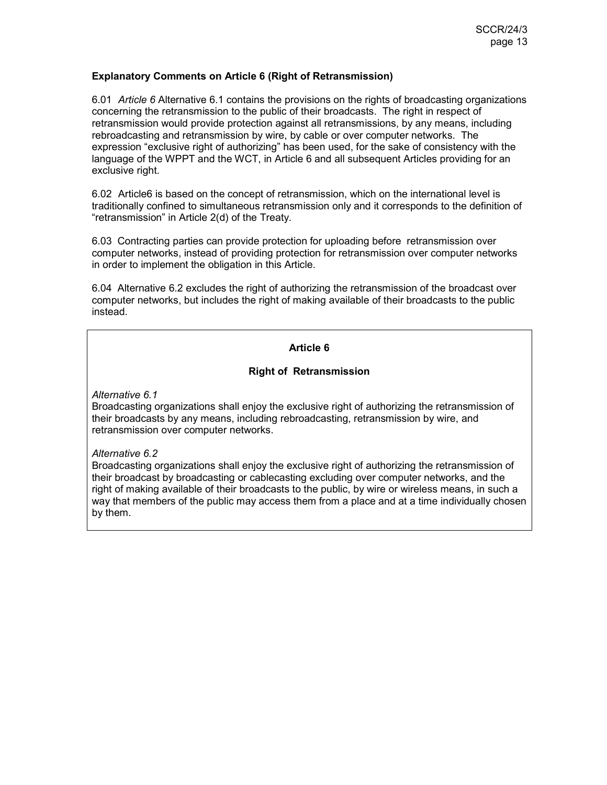## **Explanatory Comments on Article 6 (Right of Retransmission)**

6.01 *Article 6* Alternative 6.1 contains the provisions on the rights of broadcasting organizations concerning the retransmission to the public of their broadcasts. The right in respect of retransmission would provide protection against all retransmissions, by any means, including rebroadcasting and retransmission by wire, by cable or over computer networks. The expression "exclusive right of authorizing" has been used, for the sake of consistency with the language of the WPPT and the WCT, in Article 6 and all subsequent Articles providing for an exclusive right.

6.02 Article6 is based on the concept of retransmission, which on the international level is traditionally confined to simultaneous retransmission only and it corresponds to the definition of "retransmission" in Article 2(d) of the Treaty.

6.03 Contracting parties can provide protection for uploading before retransmission over computer networks, instead of providing protection for retransmission over computer networks in order to implement the obligation in this Article.

6.04 Alternative 6.2 excludes the right of authorizing the retransmission of the broadcast over computer networks, but includes the right of making available of their broadcasts to the public instead.

## **Article 6**

## **Right of Retransmission**

*Alternative 6.1*

Broadcasting organizations shall enjoy the exclusive right of authorizing the retransmission of their broadcasts by any means, including rebroadcasting, retransmission by wire, and retransmission over computer networks.

## *Alternative 6.2*

Broadcasting organizations shall enjoy the exclusive right of authorizing the retransmission of their broadcast by broadcasting or cablecasting excluding over computer networks, and the right of making available of their broadcasts to the public, by wire or wireless means, in such a way that members of the public may access them from a place and at a time individually chosen by them.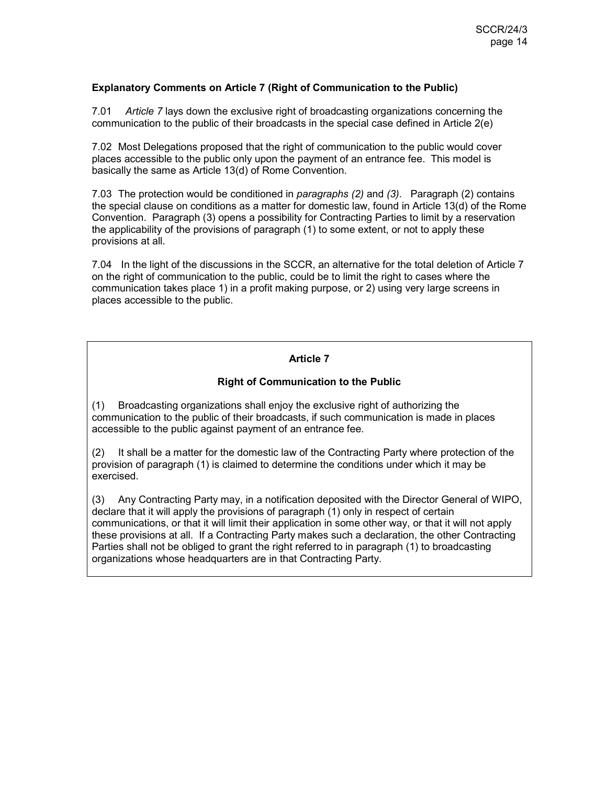## **Explanatory Comments on Article 7 (Right of Communication to the Public)**

7.01 *Article 7* lays down the exclusive right of broadcasting organizations concerning the communication to the public of their broadcasts in the special case defined in Article 2(e)

7.02 Most Delegations proposed that the right of communication to the public would cover places accessible to the public only upon the payment of an entrance fee. This model is basically the same as Article 13(d) of Rome Convention.

7.03 The protection would be conditioned in *paragraphs (2)* and *(3)*. Paragraph (2) contains the special clause on conditions as a matter for domestic law, found in Article 13(d) of the Rome Convention. Paragraph (3) opens a possibility for Contracting Parties to limit by a reservation the applicability of the provisions of paragraph (1) to some extent, or not to apply these provisions at all.

7.04 In the light of the discussions in the SCCR, an alternative for the total deletion of Article 7 on the right of communication to the public, could be to limit the right to cases where the communication takes place 1) in a profit making purpose, or 2) using very large screens in places accessible to the public.

# **Article 7**

# **Right of Communication to the Public**

(1) Broadcasting organizations shall enjoy the exclusive right of authorizing the communication to the public of their broadcasts, if such communication is made in places accessible to the public against payment of an entrance fee.

(2) It shall be a matter for the domestic law of the Contracting Party where protection of the provision of paragraph (1) is claimed to determine the conditions under which it may be exercised.

(3) Any Contracting Party may, in a notification deposited with the Director General of WIPO, declare that it will apply the provisions of paragraph (1) only in respect of certain communications, or that it will limit their application in some other way, or that it will not apply these provisions at all. If a Contracting Party makes such a declaration, the other Contracting Parties shall not be obliged to grant the right referred to in paragraph (1) to broadcasting organizations whose headquarters are in that Contracting Party.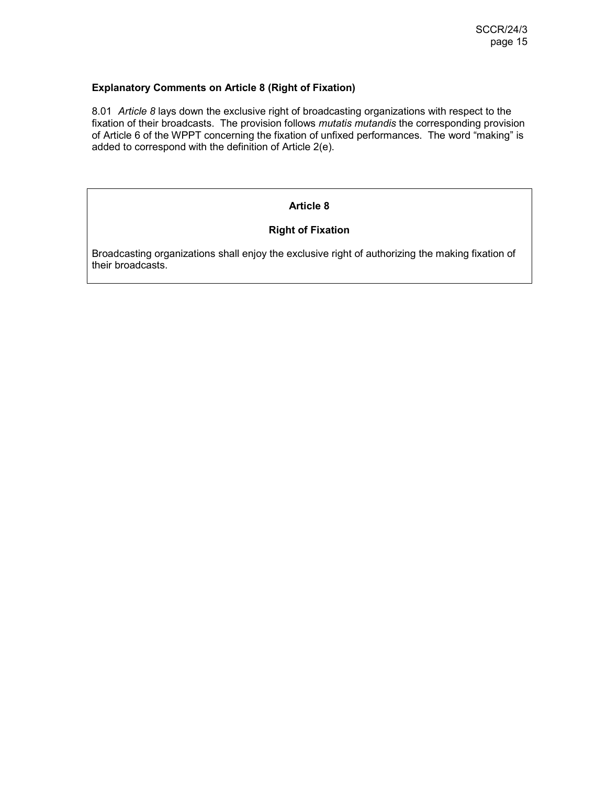## **Explanatory Comments on Article 8 (Right of Fixation)**

8.01 *Article 8* lays down the exclusive right of broadcasting organizations with respect to the fixation of their broadcasts. The provision follows *mutatis mutandis* the corresponding provision of Article 6 of the WPPT concerning the fixation of unfixed performances. The word "making" is added to correspond with the definition of Article 2(e).

#### **Article 8**

## **Right of Fixation**

Broadcasting organizations shall enjoy the exclusive right of authorizing the making fixation of their broadcasts.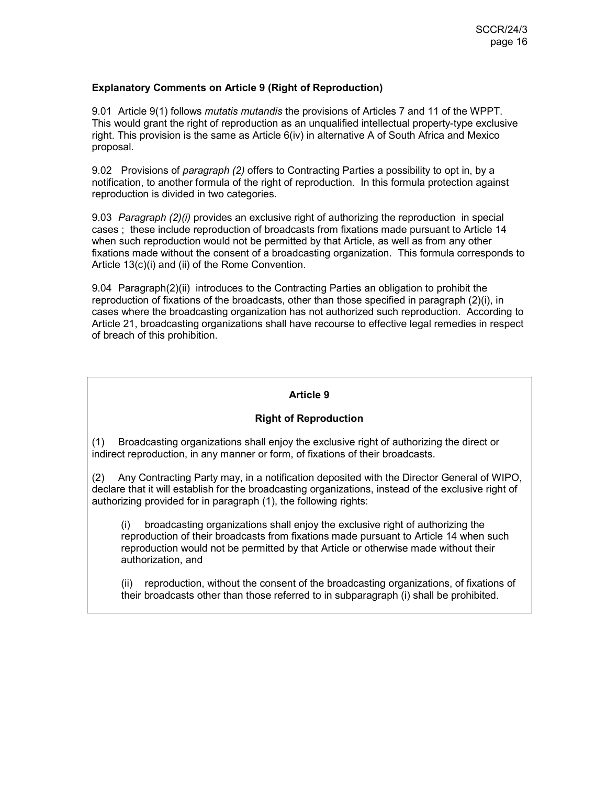## **Explanatory Comments on Article 9 (Right of Reproduction)**

9.01 Article 9(1) follows *mutatis mutandis* the provisions of Articles 7 and 11 of the WPPT. This would grant the right of reproduction as an unqualified intellectual property-type exclusive right. This provision is the same as Article 6(iv) in alternative A of South Africa and Mexico proposal.

9.02 Provisions of *paragraph (2)* offers to Contracting Parties a possibility to opt in, by a notification, to another formula of the right of reproduction. In this formula protection against reproduction is divided in two categories.

9.03 *Paragraph (2)(i)* provides an exclusive right of authorizing the reproduction in special cases ; these include reproduction of broadcasts from fixations made pursuant to Article 14 when such reproduction would not be permitted by that Article, as well as from any other fixations made without the consent of a broadcasting organization. This formula corresponds to Article 13(c)(i) and (ii) of the Rome Convention.

9.04 Paragraph(2)(ii) introduces to the Contracting Parties an obligation to prohibit the reproduction of fixations of the broadcasts, other than those specified in paragraph (2)(i), in cases where the broadcasting organization has not authorized such reproduction. According to Article 21, broadcasting organizations shall have recourse to effective legal remedies in respect of breach of this prohibition.

## **Article 9**

## **Right of Reproduction**

(1) Broadcasting organizations shall enjoy the exclusive right of authorizing the direct or indirect reproduction, in any manner or form, of fixations of their broadcasts.

(2) Any Contracting Party may, in a notification deposited with the Director General of WIPO, declare that it will establish for the broadcasting organizations, instead of the exclusive right of authorizing provided for in paragraph (1), the following rights:

(i) broadcasting organizations shall enjoy the exclusive right of authorizing the reproduction of their broadcasts from fixations made pursuant to Article 14 when such reproduction would not be permitted by that Article or otherwise made without their authorization, and

(ii) reproduction, without the consent of the broadcasting organizations, of fixations of their broadcasts other than those referred to in subparagraph (i) shall be prohibited.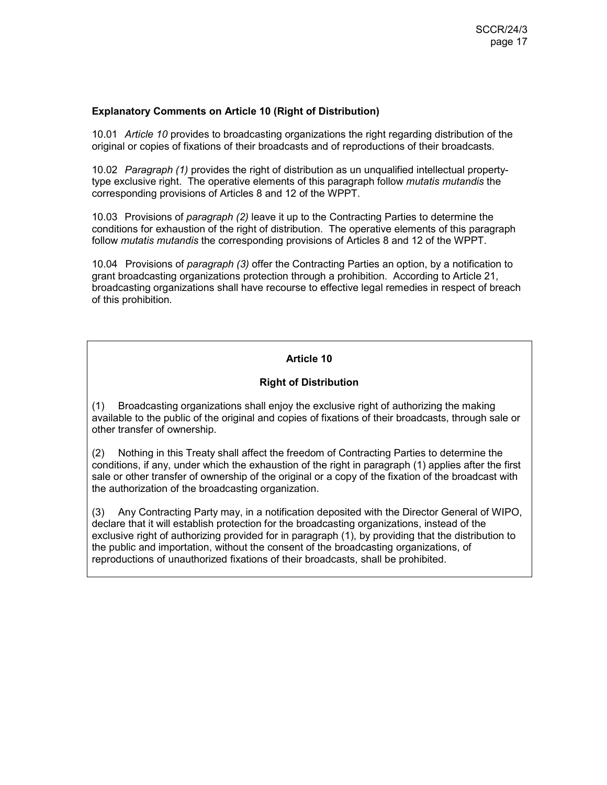## **Explanatory Comments on Article 10 (Right of Distribution)**

10.01 *Article 10* provides to broadcasting organizations the right regarding distribution of the original or copies of fixations of their broadcasts and of reproductions of their broadcasts.

10.02 *Paragraph (1)* provides the right of distribution as un unqualified intellectual propertytype exclusive right. The operative elements of this paragraph follow *mutatis mutandis* the corresponding provisions of Articles 8 and 12 of the WPPT.

10.03 Provisions of *paragraph (2)* leave it up to the Contracting Parties to determine the conditions for exhaustion of the right of distribution. The operative elements of this paragraph follow *mutatis mutandis* the corresponding provisions of Articles 8 and 12 of the WPPT.

10.04 Provisions of *paragraph (3)* offer the Contracting Parties an option, by a notification to grant broadcasting organizations protection through a prohibition. According to Article 21, broadcasting organizations shall have recourse to effective legal remedies in respect of breach of this prohibition.

# **Article 10**

# **Right of Distribution**

(1) Broadcasting organizations shall enjoy the exclusive right of authorizing the making available to the public of the original and copies of fixations of their broadcasts, through sale or other transfer of ownership.

(2) Nothing in this Treaty shall affect the freedom of Contracting Parties to determine the conditions, if any, under which the exhaustion of the right in paragraph (1) applies after the first sale or other transfer of ownership of the original or a copy of the fixation of the broadcast with the authorization of the broadcasting organization.

(3) Any Contracting Party may, in a notification deposited with the Director General of WIPO, declare that it will establish protection for the broadcasting organizations, instead of the exclusive right of authorizing provided for in paragraph (1), by providing that the distribution to the public and importation, without the consent of the broadcasting organizations, of reproductions of unauthorized fixations of their broadcasts, shall be prohibited.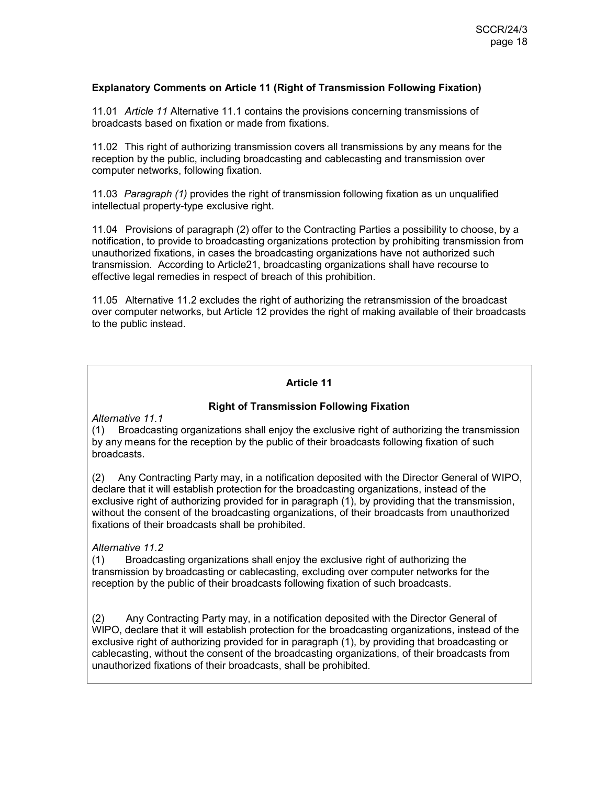## **Explanatory Comments on Article 11 (Right of Transmission Following Fixation)**

11.01 *Article 11* Alternative 11.1 contains the provisions concerning transmissions of broadcasts based on fixation or made from fixations.

11.02 This right of authorizing transmission covers all transmissions by any means for the reception by the public, including broadcasting and cablecasting and transmission over computer networks, following fixation.

11.03 *Paragraph (1)* provides the right of transmission following fixation as un unqualified intellectual property-type exclusive right.

11.04 Provisions of paragraph (2) offer to the Contracting Parties a possibility to choose, by a notification, to provide to broadcasting organizations protection by prohibiting transmission from unauthorized fixations, in cases the broadcasting organizations have not authorized such transmission. According to Article21, broadcasting organizations shall have recourse to effective legal remedies in respect of breach of this prohibition.

11.05 Alternative 11.2 excludes the right of authorizing the retransmission of the broadcast over computer networks, but Article 12 provides the right of making available of their broadcasts to the public instead.

# **Article 11**

# **Right of Transmission Following Fixation**

## *Alternative 11.1*

(1) Broadcasting organizations shall enjoy the exclusive right of authorizing the transmission by any means for the reception by the public of their broadcasts following fixation of such broadcasts.

(2) Any Contracting Party may, in a notification deposited with the Director General of WIPO, declare that it will establish protection for the broadcasting organizations, instead of the exclusive right of authorizing provided for in paragraph (1), by providing that the transmission, without the consent of the broadcasting organizations, of their broadcasts from unauthorized fixations of their broadcasts shall be prohibited.

## *Alternative 11.2*

(1) Broadcasting organizations shall enjoy the exclusive right of authorizing the transmission by broadcasting or cablecasting, excluding over computer networks for the reception by the public of their broadcasts following fixation of such broadcasts.

(2) Any Contracting Party may, in a notification deposited with the Director General of WIPO, declare that it will establish protection for the broadcasting organizations, instead of the exclusive right of authorizing provided for in paragraph (1), by providing that broadcasting or cablecasting, without the consent of the broadcasting organizations, of their broadcasts from unauthorized fixations of their broadcasts, shall be prohibited.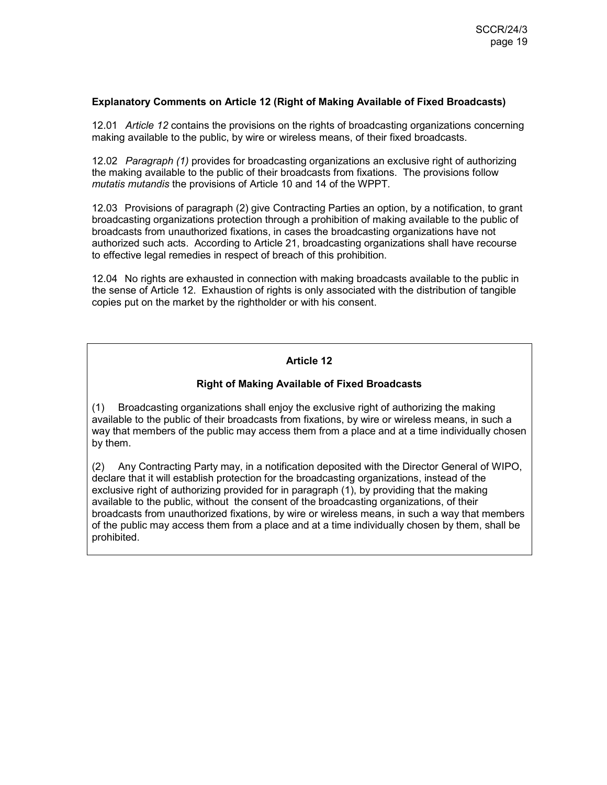#### **Explanatory Comments on Article 12 (Right of Making Available of Fixed Broadcasts)**

12.01 *Article 12* contains the provisions on the rights of broadcasting organizations concerning making available to the public, by wire or wireless means, of their fixed broadcasts.

12.02 *Paragraph (1)* provides for broadcasting organizations an exclusive right of authorizing the making available to the public of their broadcasts from fixations. The provisions follow *mutatis mutandis* the provisions of Article 10 and 14 of the WPPT.

12.03 Provisions of paragraph (2) give Contracting Parties an option, by a notification, to grant broadcasting organizations protection through a prohibition of making available to the public of broadcasts from unauthorized fixations, in cases the broadcasting organizations have not authorized such acts. According to Article 21, broadcasting organizations shall have recourse to effective legal remedies in respect of breach of this prohibition.

12.04 No rights are exhausted in connection with making broadcasts available to the public in the sense of Article 12. Exhaustion of rights is only associated with the distribution of tangible copies put on the market by the rightholder or with his consent.

## **Article 12**

# **Right of Making Available of Fixed Broadcasts**

(1) Broadcasting organizations shall enjoy the exclusive right of authorizing the making available to the public of their broadcasts from fixations, by wire or wireless means, in such a way that members of the public may access them from a place and at a time individually chosen by them.

(2) Any Contracting Party may, in a notification deposited with the Director General of WIPO, declare that it will establish protection for the broadcasting organizations, instead of the exclusive right of authorizing provided for in paragraph (1), by providing that the making available to the public, without the consent of the broadcasting organizations, of their broadcasts from unauthorized fixations, by wire or wireless means, in such a way that members of the public may access them from a place and at a time individually chosen by them, shall be prohibited.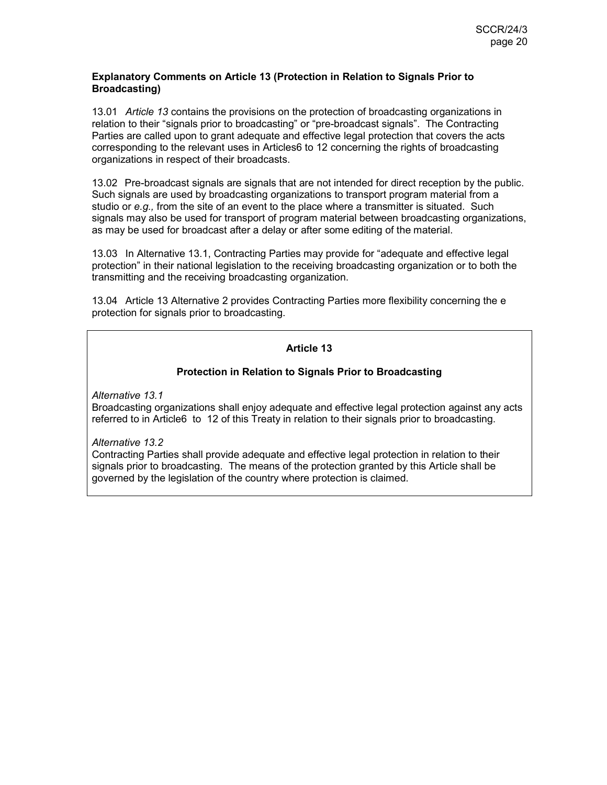#### **Explanatory Comments on Article 13 (Protection in Relation to Signals Prior to Broadcasting)**

13.01 *Article 13* contains the provisions on the protection of broadcasting organizations in relation to their "signals prior to broadcasting" or "pre-broadcast signals". The Contracting Parties are called upon to grant adequate and effective legal protection that covers the acts corresponding to the relevant uses in Articles6 to 12 concerning the rights of broadcasting organizations in respect of their broadcasts.

13.02 Pre-broadcast signals are signals that are not intended for direct reception by the public. Such signals are used by broadcasting organizations to transport program material from a studio or *e.g.,* from the site of an event to the place where a transmitter is situated. Such signals may also be used for transport of program material between broadcasting organizations, as may be used for broadcast after a delay or after some editing of the material.

13.03 In Alternative 13.1, Contracting Parties may provide for "adequate and effective legal protection" in their national legislation to the receiving broadcasting organization or to both the transmitting and the receiving broadcasting organization.

13.04 Article 13 Alternative 2 provides Contracting Parties more flexibility concerning the e protection for signals prior to broadcasting.

# **Article 13**

## **Protection in Relation to Signals Prior to Broadcasting**

*Alternative 13.1* 

Broadcasting organizations shall enjoy adequate and effective legal protection against any acts referred to in Article6 to 12 of this Treaty in relation to their signals prior to broadcasting.

*Alternative 13.2* 

Contracting Parties shall provide adequate and effective legal protection in relation to their signals prior to broadcasting. The means of the protection granted by this Article shall be governed by the legislation of the country where protection is claimed.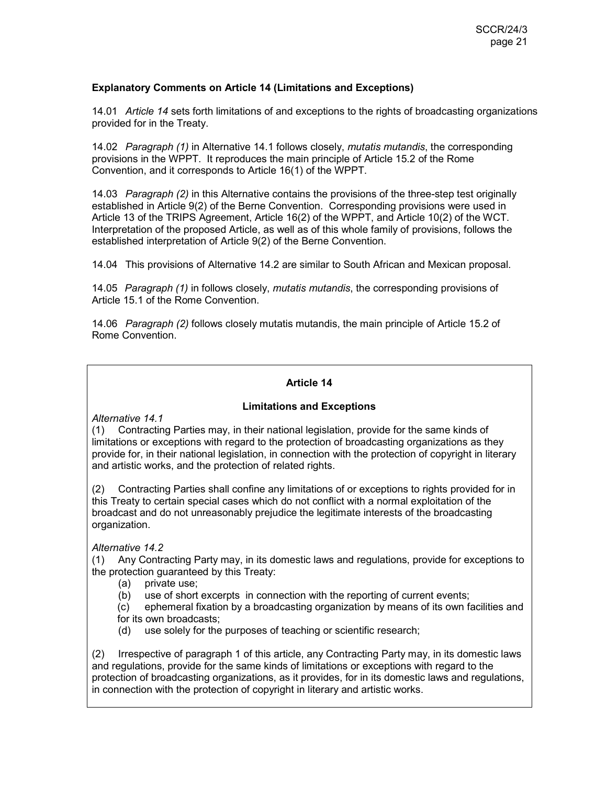## **Explanatory Comments on Article 14 (Limitations and Exceptions)**

14.01 *Article 14* sets forth limitations of and exceptions to the rights of broadcasting organizations provided for in the Treaty.

14.02 *Paragraph (1)* in Alternative 14.1 follows closely, *mutatis mutandis*, the corresponding provisions in the WPPT. It reproduces the main principle of Article 15.2 of the Rome Convention, and it corresponds to Article 16(1) of the WPPT.

14.03 *Paragraph (2)* in this Alternative contains the provisions of the three-step test originally established in Article 9(2) of the Berne Convention. Corresponding provisions were used in Article 13 of the TRIPS Agreement, Article 16(2) of the WPPT, and Article 10(2) of the WCT. Interpretation of the proposed Article, as well as of this whole family of provisions, follows the established interpretation of Article 9(2) of the Berne Convention.

14.04 This provisions of Alternative 14.2 are similar to South African and Mexican proposal.

14.05 *Paragraph (1)* in follows closely, *mutatis mutandis*, the corresponding provisions of Article 15.1 of the Rome Convention.

14.06 *Paragraph (2)* follows closely mutatis mutandis, the main principle of Article 15.2 of Rome Convention.

## **Article 14**

## **Limitations and Exceptions**

*Alternative 14.1*

(1) Contracting Parties may, in their national legislation, provide for the same kinds of limitations or exceptions with regard to the protection of broadcasting organizations as they provide for, in their national legislation, in connection with the protection of copyright in literary and artistic works, and the protection of related rights.

(2) Contracting Parties shall confine any limitations of or exceptions to rights provided for in this Treaty to certain special cases which do not conflict with a normal exploitation of the broadcast and do not unreasonably prejudice the legitimate interests of the broadcasting organization.

## *Alternative 14.2*

(1) Any Contracting Party may, in its domestic laws and regulations, provide for exceptions to the protection guaranteed by this Treaty:

- (a) private use;
- (b) use of short excerpts in connection with the reporting of current events;

 (c) ephemeral fixation by a broadcasting organization by means of its own facilities and for its own broadcasts;

(d) use solely for the purposes of teaching or scientific research;

(2) Irrespective of paragraph 1 of this article, any Contracting Party may, in its domestic laws and regulations, provide for the same kinds of limitations or exceptions with regard to the protection of broadcasting organizations, as it provides, for in its domestic laws and regulations, in connection with the protection of copyright in literary and artistic works.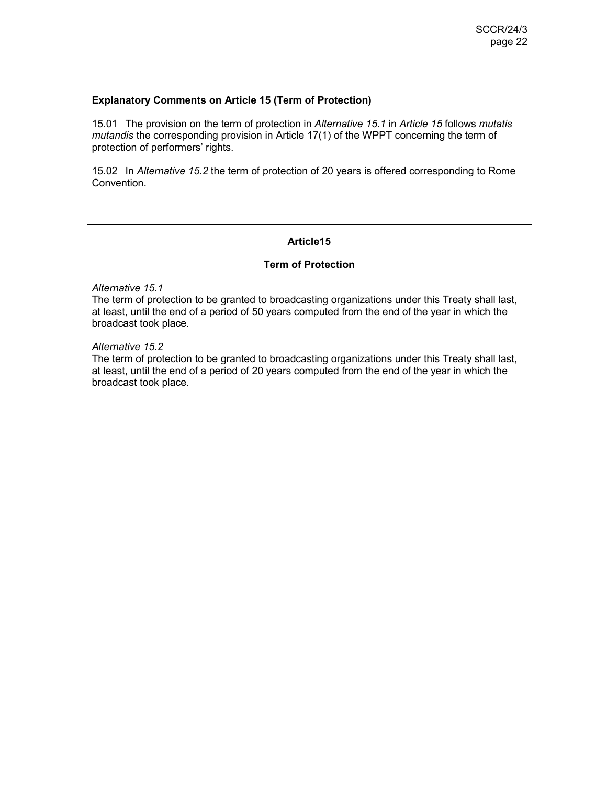#### **Explanatory Comments on Article 15 (Term of Protection)**

15.01 The provision on the term of protection in *Alternative 15.1* in *Article 15* follows *mutatis mutandis* the corresponding provision in Article 17(1) of the WPPT concerning the term of protection of performers' rights.

15.02 In *Alternative 15.2* the term of protection of 20 years is offered corresponding to Rome Convention.

#### **Article15**

## **Term of Protection**

*Alternative 15.1* 

The term of protection to be granted to broadcasting organizations under this Treaty shall last, at least, until the end of a period of 50 years computed from the end of the year in which the broadcast took place.

*Alternative 15.2* 

The term of protection to be granted to broadcasting organizations under this Treaty shall last, at least, until the end of a period of 20 years computed from the end of the year in which the broadcast took place.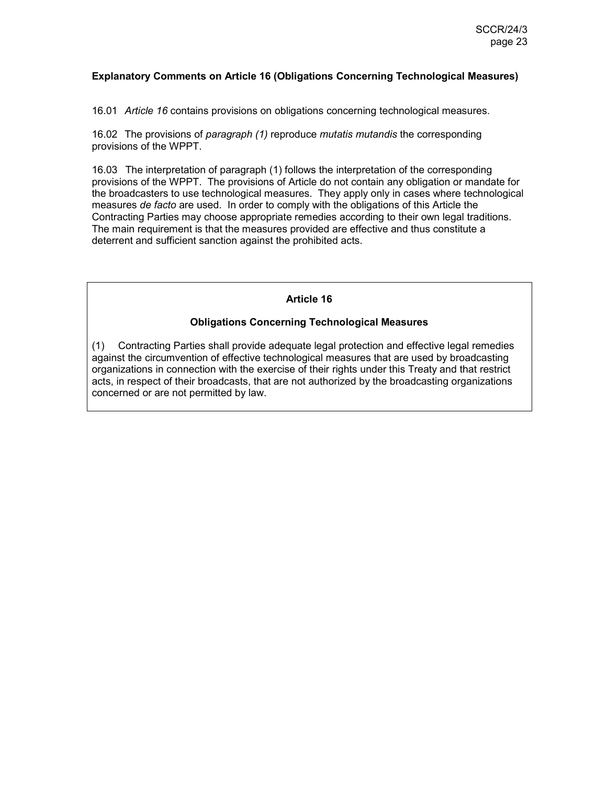## **Explanatory Comments on Article 16 (Obligations Concerning Technological Measures)**

16.01 *Article 16* contains provisions on obligations concerning technological measures.

16.02 The provisions of *paragraph (1)* reproduce *mutatis mutandis* the corresponding provisions of the WPPT.

16.03 The interpretation of paragraph (1) follows the interpretation of the corresponding provisions of the WPPT. The provisions of Article do not contain any obligation or mandate for the broadcasters to use technological measures. They apply only in cases where technological measures *de facto* are used. In order to comply with the obligations of this Article the Contracting Parties may choose appropriate remedies according to their own legal traditions. The main requirement is that the measures provided are effective and thus constitute a deterrent and sufficient sanction against the prohibited acts.

**Article 16** 

## **Obligations Concerning Technological Measures**

(1) Contracting Parties shall provide adequate legal protection and effective legal remedies against the circumvention of effective technological measures that are used by broadcasting organizations in connection with the exercise of their rights under this Treaty and that restrict acts, in respect of their broadcasts, that are not authorized by the broadcasting organizations concerned or are not permitted by law.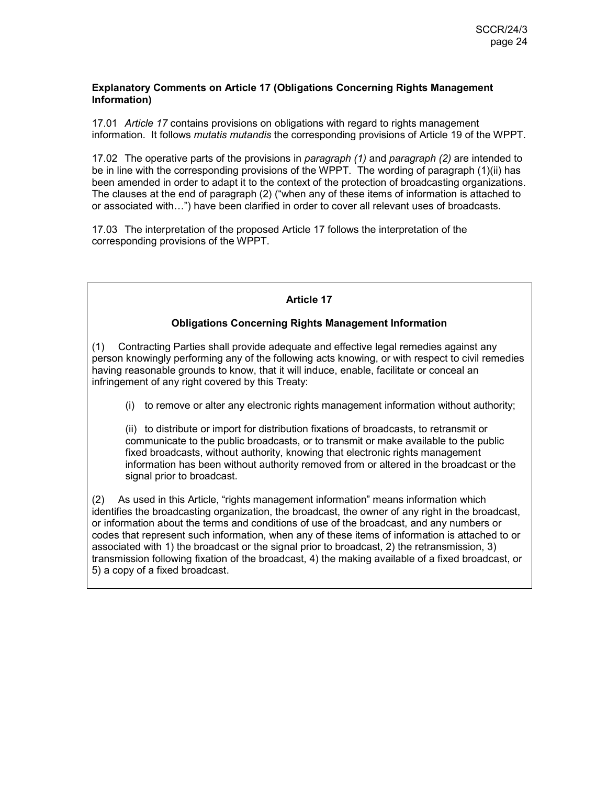#### **Explanatory Comments on Article 17 (Obligations Concerning Rights Management Information)**

17.01 *Article 17* contains provisions on obligations with regard to rights management information. It follows *mutatis mutandis* the corresponding provisions of Article 19 of the WPPT.

17.02 The operative parts of the provisions in *paragraph (1)* and *paragraph (2)* are intended to be in line with the corresponding provisions of the WPPT. The wording of paragraph (1)(ii) has been amended in order to adapt it to the context of the protection of broadcasting organizations. The clauses at the end of paragraph (2) ("when any of these items of information is attached to or associated with…") have been clarified in order to cover all relevant uses of broadcasts.

17.03 The interpretation of the proposed Article 17 follows the interpretation of the corresponding provisions of the WPPT.

# **Article 17**

# **Obligations Concerning Rights Management Information**

(1) Contracting Parties shall provide adequate and effective legal remedies against any person knowingly performing any of the following acts knowing, or with respect to civil remedies having reasonable grounds to know, that it will induce, enable, facilitate or conceal an infringement of any right covered by this Treaty:

(i) to remove or alter any electronic rights management information without authority;

(ii) to distribute or import for distribution fixations of broadcasts, to retransmit or communicate to the public broadcasts, or to transmit or make available to the public fixed broadcasts, without authority, knowing that electronic rights management information has been without authority removed from or altered in the broadcast or the signal prior to broadcast.

(2) As used in this Article, "rights management information" means information which identifies the broadcasting organization, the broadcast, the owner of any right in the broadcast, or information about the terms and conditions of use of the broadcast, and any numbers or codes that represent such information, when any of these items of information is attached to or associated with 1) the broadcast or the signal prior to broadcast, 2) the retransmission, 3) transmission following fixation of the broadcast, 4) the making available of a fixed broadcast, or 5) a copy of a fixed broadcast.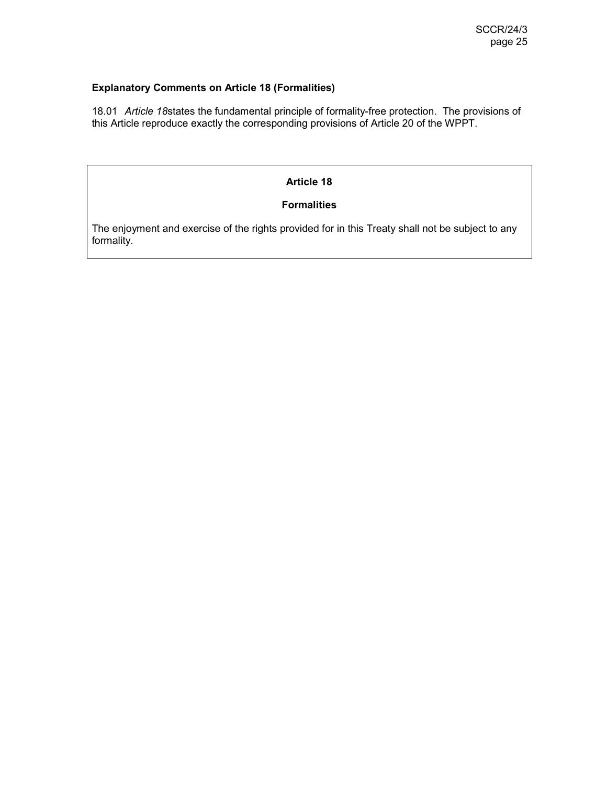# **Explanatory Comments on Article 18 (Formalities)**

18.01 *Article 18*states the fundamental principle of formality-free protection. The provisions of this Article reproduce exactly the corresponding provisions of Article 20 of the WPPT.

# **Article 18**

# **Formalities**

The enjoyment and exercise of the rights provided for in this Treaty shall not be subject to any formality.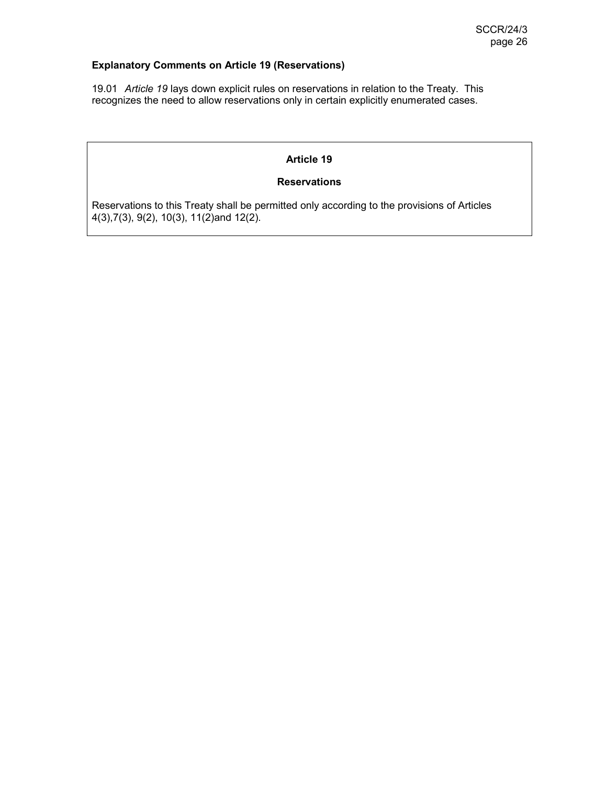#### **Explanatory Comments on Article 19 (Reservations)**

19.01 *Article 19* lays down explicit rules on reservations in relation to the Treaty. This recognizes the need to allow reservations only in certain explicitly enumerated cases.

# **Article 19**

# **Reservations**

Reservations to this Treaty shall be permitted only according to the provisions of Articles 4(3),7(3), 9(2), 10(3), 11(2)and 12(2).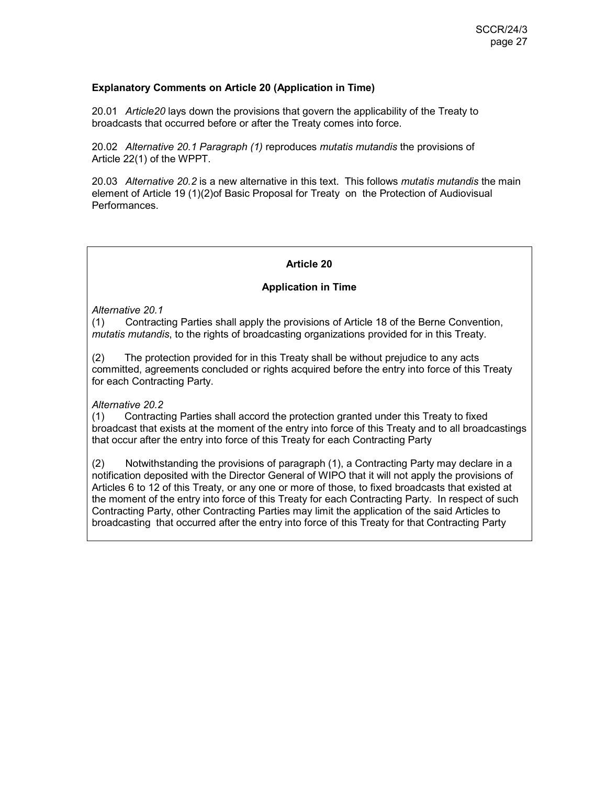## **Explanatory Comments on Article 20 (Application in Time)**

20.01 *Article20* lays down the provisions that govern the applicability of the Treaty to broadcasts that occurred before or after the Treaty comes into force.

20.02 *Alternative 20.1 Paragraph (1)* reproduces *mutatis mutandis* the provisions of Article 22(1) of the WPPT.

20.03 *Alternative 20.2* is a new alternative in this text. This follows *mutatis mutandis* the main element of Article 19 (1)(2)of Basic Proposal for Treaty on the Protection of Audiovisual Performances.

#### **Article 20**

## **Application in Time**

*Alternative 20.1* 

(1) Contracting Parties shall apply the provisions of Article 18 of the Berne Convention, *mutatis mutandis*, to the rights of broadcasting organizations provided for in this Treaty.

(2) The protection provided for in this Treaty shall be without prejudice to any acts committed, agreements concluded or rights acquired before the entry into force of this Treaty for each Contracting Party.

#### *Alternative 20.2*

(1) Contracting Parties shall accord the protection granted under this Treaty to fixed broadcast that exists at the moment of the entry into force of this Treaty and to all broadcastings that occur after the entry into force of this Treaty for each Contracting Party

(2) Notwithstanding the provisions of paragraph (1), a Contracting Party may declare in a notification deposited with the Director General of WIPO that it will not apply the provisions of Articles 6 to 12 of this Treaty, or any one or more of those, to fixed broadcasts that existed at the moment of the entry into force of this Treaty for each Contracting Party. In respect of such Contracting Party, other Contracting Parties may limit the application of the said Articles to broadcasting that occurred after the entry into force of this Treaty for that Contracting Party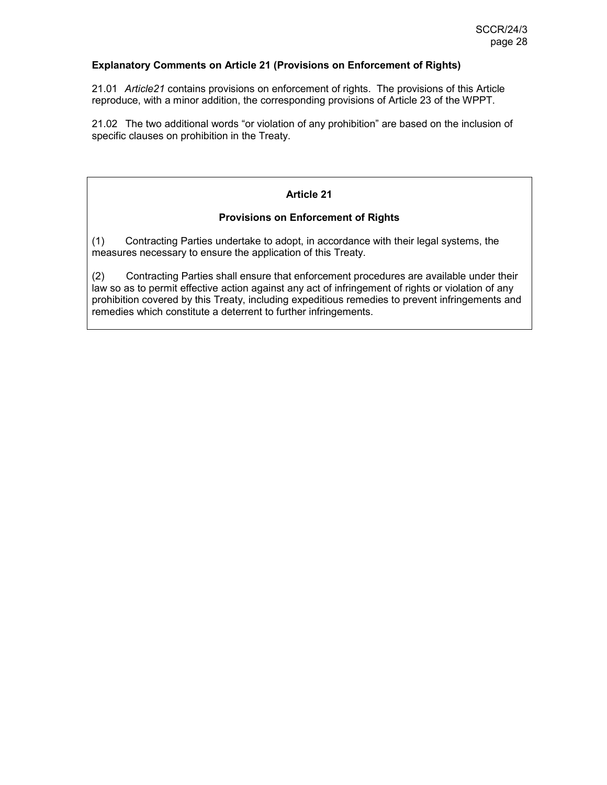#### **Explanatory Comments on Article 21 (Provisions on Enforcement of Rights)**

21.01 *Article21* contains provisions on enforcement of rights. The provisions of this Article reproduce, with a minor addition, the corresponding provisions of Article 23 of the WPPT.

21.02 The two additional words "or violation of any prohibition" are based on the inclusion of specific clauses on prohibition in the Treaty.

#### **Article 21**

#### **Provisions on Enforcement of Rights**

(1) Contracting Parties undertake to adopt, in accordance with their legal systems, the measures necessary to ensure the application of this Treaty.

(2) Contracting Parties shall ensure that enforcement procedures are available under their law so as to permit effective action against any act of infringement of rights or violation of any prohibition covered by this Treaty, including expeditious remedies to prevent infringements and remedies which constitute a deterrent to further infringements.